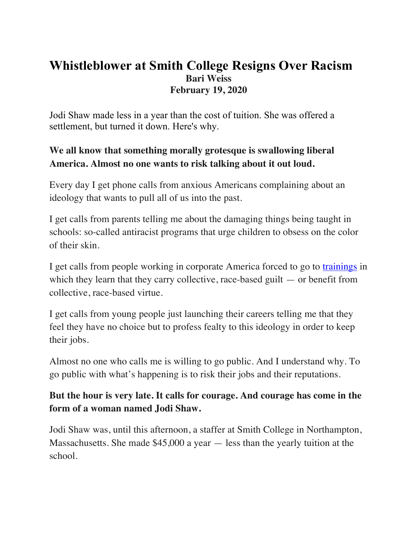## **Whistleblower at Smith College Resigns Over Racism Bari Weiss February 19, 2020**

Jodi Shaw made less in a year than the cost of tuition. She was offered a settlement, but turned it down. Here's why.

## **We all know that something morally grotesque is swallowing liberal America. Almost no one wants to risk talking about it out loud.**

Every day I get phone calls from anxious Americans complaining about an ideology that wants to pull all of us into the past.

I get calls from parents telling me about the damaging things being taught in schools: so-called antiracist programs that urge children to obsess on the color of their skin.

I get calls from people working in corporate America forced to go to trainings in which they learn that they carry collective, race-based guilt  $-$  or benefit from collective, race-based virtue.

I get calls from young people just launching their careers telling me that they feel they have no choice but to profess fealty to this ideology in order to keep their jobs.

Almost no one who calls me is willing to go public. And I understand why. To go public with what's happening is to risk their jobs and their reputations.

## **But the hour is very late. It calls for courage. And courage has come in the form of a woman named Jodi Shaw.**

Jodi Shaw was, until this afternoon, a staffer at Smith College in Northampton, Massachusetts. She made \$45,000 a year — less than the yearly tuition at the school.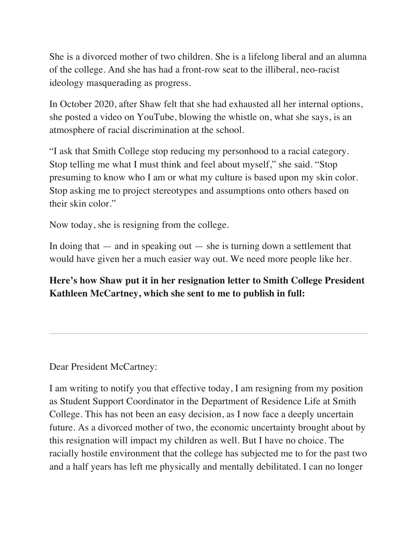She is a divorced mother of two children. She is a lifelong liberal and an alumna of the college. And she has had a front-row seat to the illiberal, neo-racist ideology masquerading as progress.

In October 2020, after Shaw felt that she had exhausted all her internal options, she posted a video on YouTube, blowing the whistle on, what she says, is an atmosphere of racial discrimination at the school.

"I ask that Smith College stop reducing my personhood to a racial category. Stop telling me what I must think and feel about myself," she said. "Stop presuming to know who I am or what my culture is based upon my skin color. Stop asking me to project stereotypes and assumptions onto others based on their skin color."

Now today, she is resigning from the college.

In doing that  $-$  and in speaking out  $-$  she is turning down a settlement that would have given her a much easier way out. We need more people like her.

## **Here's how Shaw put it in her resignation letter to Smith College President Kathleen McCartney, which she sent to me to publish in full:**

Dear President McCartney:

I am writing to notify you that effective today, I am resigning from my position as Student Support Coordinator in the Department of Residence Life at Smith College. This has not been an easy decision, as I now face a deeply uncertain future. As a divorced mother of two, the economic uncertainty brought about by this resignation will impact my children as well. But I have no choice. The racially hostile environment that the college has subjected me to for the past two and a half years has left me physically and mentally debilitated. I can no longer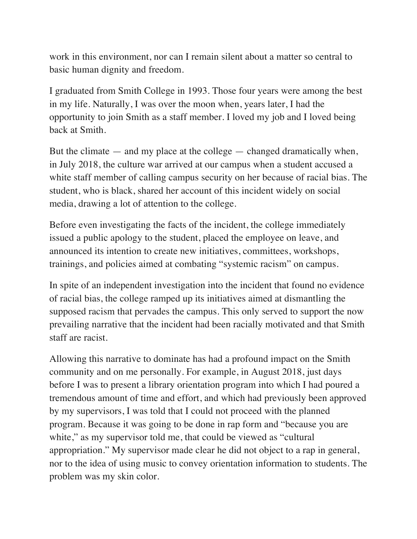work in this environment, nor can I remain silent about a matter so central to basic human dignity and freedom.

I graduated from Smith College in 1993. Those four years were among the best in my life. Naturally, I was over the moon when, years later, I had the opportunity to join Smith as a staff member. I loved my job and I loved being back at Smith.

But the climate — and my place at the college — changed dramatically when, in July 2018, the culture war arrived at our campus when a student accused a white staff member of calling campus security on her because of racial bias. The student, who is black, shared her account of this incident widely on social media, drawing a lot of attention to the college.

Before even investigating the facts of the incident, the college immediately issued a public apology to the student, placed the employee on leave, and announced its intention to create new initiatives, committees, workshops, trainings, and policies aimed at combating "systemic racism" on campus.

In spite of an independent investigation into the incident that found no evidence of racial bias, the college ramped up its initiatives aimed at dismantling the supposed racism that pervades the campus. This only served to support the now prevailing narrative that the incident had been racially motivated and that Smith staff are racist.

Allowing this narrative to dominate has had a profound impact on the Smith community and on me personally. For example, in August 2018, just days before I was to present a library orientation program into which I had poured a tremendous amount of time and effort, and which had previously been approved by my supervisors, I was told that I could not proceed with the planned program. Because it was going to be done in rap form and "because you are white," as my supervisor told me, that could be viewed as "cultural" appropriation." My supervisor made clear he did not object to a rap in general, nor to the idea of using music to convey orientation information to students. The problem was my skin color.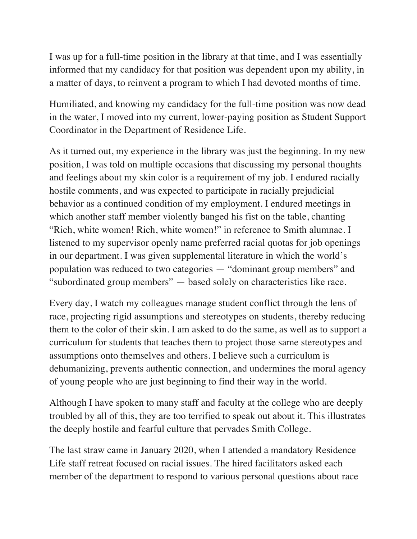I was up for a full-time position in the library at that time, and I was essentially informed that my candidacy for that position was dependent upon my ability, in a matter of days, to reinvent a program to which I had devoted months of time.

Humiliated, and knowing my candidacy for the full-time position was now dead in the water, I moved into my current, lower-paying position as Student Support Coordinator in the Department of Residence Life.

As it turned out, my experience in the library was just the beginning. In my new position, I was told on multiple occasions that discussing my personal thoughts and feelings about my skin color is a requirement of my job. I endured racially hostile comments, and was expected to participate in racially prejudicial behavior as a continued condition of my employment. I endured meetings in which another staff member violently banged his fist on the table, chanting "Rich, white women! Rich, white women!" in reference to Smith alumnae. I listened to my supervisor openly name preferred racial quotas for job openings in our department. I was given supplemental literature in which the world's population was reduced to two categories — "dominant group members" and "subordinated group members" — based solely on characteristics like race.

Every day, I watch my colleagues manage student conflict through the lens of race, projecting rigid assumptions and stereotypes on students, thereby reducing them to the color of their skin. I am asked to do the same, as well as to support a curriculum for students that teaches them to project those same stereotypes and assumptions onto themselves and others. I believe such a curriculum is dehumanizing, prevents authentic connection, and undermines the moral agency of young people who are just beginning to find their way in the world.

Although I have spoken to many staff and faculty at the college who are deeply troubled by all of this, they are too terrified to speak out about it. This illustrates the deeply hostile and fearful culture that pervades Smith College.

The last straw came in January 2020, when I attended a mandatory Residence Life staff retreat focused on racial issues. The hired facilitators asked each member of the department to respond to various personal questions about race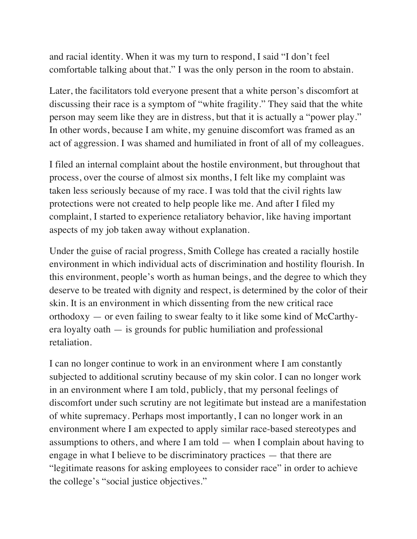and racial identity. When it was my turn to respond, I said "I don't feel comfortable talking about that." I was the only person in the room to abstain.

Later, the facilitators told everyone present that a white person's discomfort at discussing their race is a symptom of "white fragility." They said that the white person may seem like they are in distress, but that it is actually a "power play." In other words, because I am white, my genuine discomfort was framed as an act of aggression. I was shamed and humiliated in front of all of my colleagues.

I filed an internal complaint about the hostile environment, but throughout that process, over the course of almost six months, I felt like my complaint was taken less seriously because of my race. I was told that the civil rights law protections were not created to help people like me. And after I filed my complaint, I started to experience retaliatory behavior, like having important aspects of my job taken away without explanation.

Under the guise of racial progress, Smith College has created a racially hostile environment in which individual acts of discrimination and hostility flourish. In this environment, people's worth as human beings, and the degree to which they deserve to be treated with dignity and respect, is determined by the color of their skin. It is an environment in which dissenting from the new critical race orthodoxy — or even failing to swear fealty to it like some kind of McCarthyera loyalty oath — is grounds for public humiliation and professional retaliation.

I can no longer continue to work in an environment where I am constantly subjected to additional scrutiny because of my skin color. I can no longer work in an environment where I am told, publicly, that my personal feelings of discomfort under such scrutiny are not legitimate but instead are a manifestation of white supremacy. Perhaps most importantly, I can no longer work in an environment where I am expected to apply similar race-based stereotypes and assumptions to others, and where I am told — when I complain about having to engage in what I believe to be discriminatory practices — that there are "legitimate reasons for asking employees to consider race" in order to achieve the college's "social justice objectives."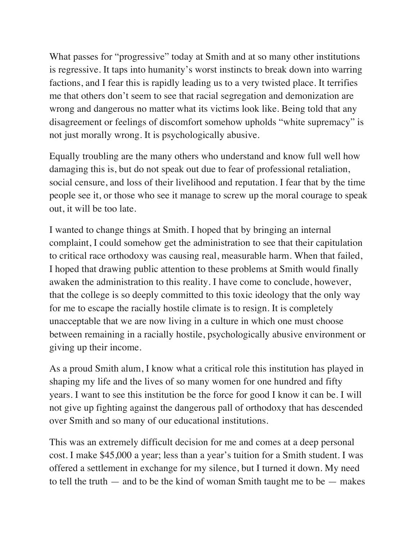What passes for "progressive" today at Smith and at so many other institutions is regressive. It taps into humanity's worst instincts to break down into warring factions, and I fear this is rapidly leading us to a very twisted place. It terrifies me that others don't seem to see that racial segregation and demonization are wrong and dangerous no matter what its victims look like. Being told that any disagreement or feelings of discomfort somehow upholds "white supremacy" is not just morally wrong. It is psychologically abusive.

Equally troubling are the many others who understand and know full well how damaging this is, but do not speak out due to fear of professional retaliation, social censure, and loss of their livelihood and reputation. I fear that by the time people see it, or those who see it manage to screw up the moral courage to speak out, it will be too late.

I wanted to change things at Smith. I hoped that by bringing an internal complaint, I could somehow get the administration to see that their capitulation to critical race orthodoxy was causing real, measurable harm. When that failed, I hoped that drawing public attention to these problems at Smith would finally awaken the administration to this reality. I have come to conclude, however, that the college is so deeply committed to this toxic ideology that the only way for me to escape the racially hostile climate is to resign. It is completely unacceptable that we are now living in a culture in which one must choose between remaining in a racially hostile, psychologically abusive environment or giving up their income.

As a proud Smith alum, I know what a critical role this institution has played in shaping my life and the lives of so many women for one hundred and fifty years. I want to see this institution be the force for good I know it can be. I will not give up fighting against the dangerous pall of orthodoxy that has descended over Smith and so many of our educational institutions.

This was an extremely difficult decision for me and comes at a deep personal cost. I make \$45,000 a year; less than a year's tuition for a Smith student. I was offered a settlement in exchange for my silence, but I turned it down. My need to tell the truth  $-$  and to be the kind of woman Smith taught me to be  $-$  makes